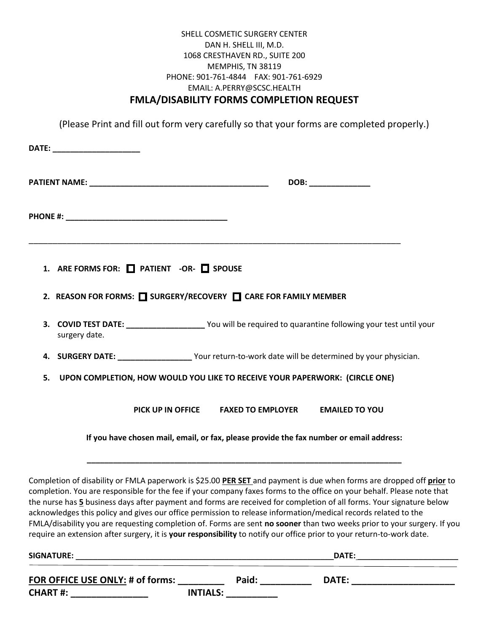### SHELL COSMETIC SURGERY CENTER DAN H. SHELL III, M.D. 1068 CRESTHAVEN RD., SUITE 200 MEMPHIS, TN 38119 PHONE: 901-761-4844 FAX: 901-761-6929 EMAIL: A.PERRY@SCSC.HEALTH **FMLA/DISABILITY FORMS COMPLETION REQUEST**

(Please Print and fill out form very carefully so that your forms are completed properly.)

| DATE: _________________________                                                                                                                                                                                                                                                                                                                                                                                                                                                                                                                                                                                                                                                                                                              |                                                                                         |                       |
|----------------------------------------------------------------------------------------------------------------------------------------------------------------------------------------------------------------------------------------------------------------------------------------------------------------------------------------------------------------------------------------------------------------------------------------------------------------------------------------------------------------------------------------------------------------------------------------------------------------------------------------------------------------------------------------------------------------------------------------------|-----------------------------------------------------------------------------------------|-----------------------|
| <b>PATIENT NAME:</b> NAME:                                                                                                                                                                                                                                                                                                                                                                                                                                                                                                                                                                                                                                                                                                                   |                                                                                         | DOB: _______________  |
|                                                                                                                                                                                                                                                                                                                                                                                                                                                                                                                                                                                                                                                                                                                                              |                                                                                         |                       |
| 1. ARE FORMS FOR: PATIENT -OR- SPOUSE                                                                                                                                                                                                                                                                                                                                                                                                                                                                                                                                                                                                                                                                                                        |                                                                                         |                       |
| 2. REASON FOR FORMS: SURGERY/RECOVERY <b>TEXAGE FOR FAMILY MEMBER</b>                                                                                                                                                                                                                                                                                                                                                                                                                                                                                                                                                                                                                                                                        |                                                                                         |                       |
| 3. COVID TEST DATE: _____________________ You will be required to quarantine following your test until your<br>surgery date.                                                                                                                                                                                                                                                                                                                                                                                                                                                                                                                                                                                                                 |                                                                                         |                       |
| 4. SURGERY DATE: _____________________Your return-to-work date will be determined by your physician.                                                                                                                                                                                                                                                                                                                                                                                                                                                                                                                                                                                                                                         |                                                                                         |                       |
| UPON COMPLETION, HOW WOULD YOU LIKE TO RECEIVE YOUR PAPERWORK: (CIRCLE ONE)<br>5.                                                                                                                                                                                                                                                                                                                                                                                                                                                                                                                                                                                                                                                            |                                                                                         |                       |
|                                                                                                                                                                                                                                                                                                                                                                                                                                                                                                                                                                                                                                                                                                                                              | PICK UP IN OFFICE FAXED TO EMPLOYER                                                     | <b>EMAILED TO YOU</b> |
|                                                                                                                                                                                                                                                                                                                                                                                                                                                                                                                                                                                                                                                                                                                                              | If you have chosen mail, email, or fax, please provide the fax number or email address: |                       |
| Completion of disability or FMLA paperwork is \$25.00 PER SET and payment is due when forms are dropped off prior to<br>completion. You are responsible for the fee if your company faxes forms to the office on your behalf. Please note that<br>the nurse has 5 business days after payment and forms are received for completion of all forms. Your signature below<br>acknowledges this policy and gives our office permission to release information/medical records related to the<br>FMLA/disability you are requesting completion of. Forms are sent no sooner than two weeks prior to your surgery. If you<br>require an extension after surgery, it is your responsibility to notify our office prior to your return-to-work date. |                                                                                         |                       |
|                                                                                                                                                                                                                                                                                                                                                                                                                                                                                                                                                                                                                                                                                                                                              |                                                                                         |                       |
| <u>FOR OFFICE USE ONLY:</u> # of forms: __________                                                                                                                                                                                                                                                                                                                                                                                                                                                                                                                                                                                                                                                                                           | Paid: ___________                                                                       | <b>DATE:</b>          |

**CHART #: \_\_\_\_\_\_\_\_\_\_\_\_\_\_\_ INTIALS: \_\_\_\_\_\_\_\_\_\_**